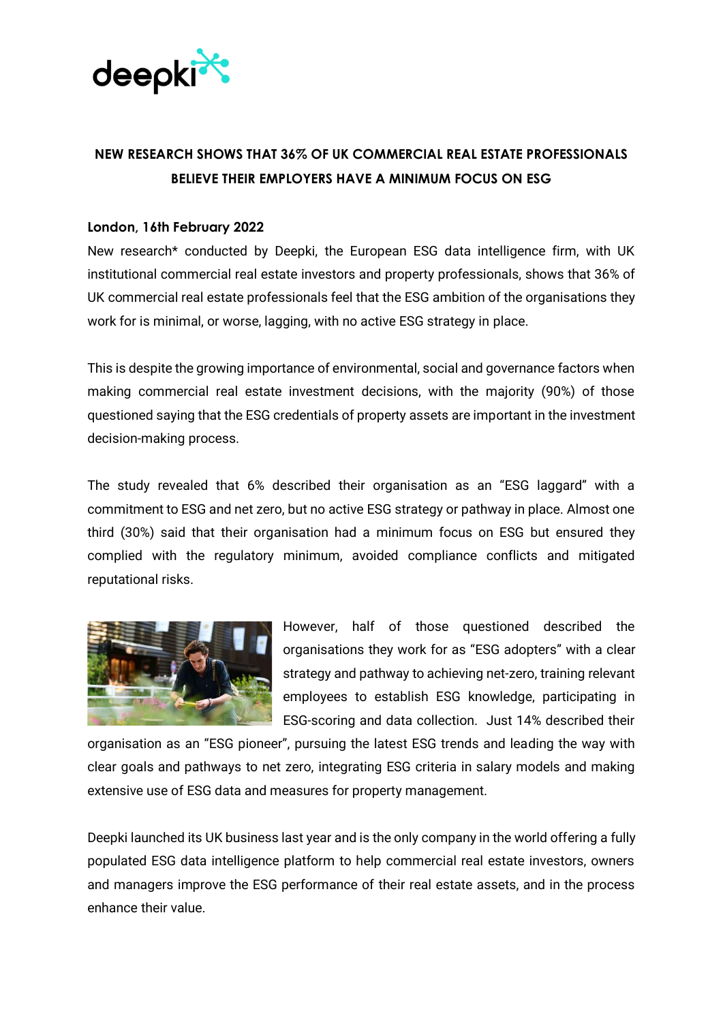

## **NEW RESEARCH SHOWS THAT 36% OF UK COMMERCIAL REAL ESTATE PROFESSIONALS BELIEVE THEIR EMPLOYERS HAVE A MINIMUM FOCUS ON ESG**

## **London, 16th February 2022**

New research\* conducted by Deepki, the European ESG data intelligence firm, with UK institutional commercial real estate investors and property professionals, shows that 36% of UK commercial real estate professionals feel that the ESG ambition of the organisations they work for is minimal, or worse, lagging, with no active ESG strategy in place.

This is despite the growing importance of environmental, social and governance factors when making commercial real estate investment decisions, with the majority (90%) of those questioned saying that the ESG credentials of property assets are important in the investment decision-making process.

The study revealed that 6% described their organisation as an "ESG laggard" with a commitment to ESG and net zero, but no active ESG strategy or pathway in place. Almost one third (30%) said that their organisation had a minimum focus on ESG but ensured they complied with the regulatory minimum, avoided compliance conflicts and mitigated reputational risks.



However, half of those questioned described the organisations they work for as "ESG adopters" with a clear strategy and pathway to achieving net-zero, training relevant employees to establish ESG knowledge, participating in ESG-scoring and data collection. Just 14% described their

organisation as an "ESG pioneer", pursuing the latest ESG trends and leading the way with clear goals and pathways to net zero, integrating ESG criteria in salary models and making extensive use of ESG data and measures for property management.

Deepki launched its UK business last year and is the only company in the world offering a fully populated ESG data intelligence platform to help commercial real estate investors, owners and managers improve the ESG performance of their real estate assets, and in the process enhance their value.